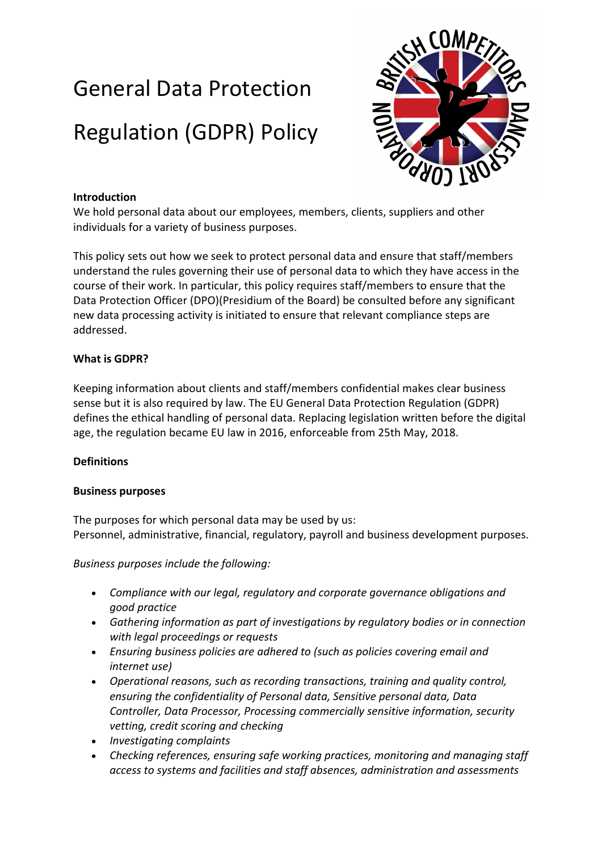# General Data Protection Regulation (GDPR) Policy



# **Introduction**

We hold personal data about our employees, members, clients, suppliers and other individuals for a variety of business purposes.

This policy sets out how we seek to protect personal data and ensure that staff/members understand the rules governing their use of personal data to which they have access in the course of their work. In particular, this policy requires staff/members to ensure that the Data Protection Officer (DPO)(Presidium of the Board) be consulted before any significant new data processing activity is initiated to ensure that relevant compliance steps are addressed.

## **What is GDPR?**

Keeping information about clients and staff/members confidential makes clear business sense but it is also required by law. The EU General Data Protection Regulation (GDPR) defines the ethical handling of personal data. Replacing legislation written before the digital age, the regulation became EU law in 2016, enforceable from 25th May, 2018.

## **Definitions**

## **Business purposes**

The purposes for which personal data may be used by us: Personnel, administrative, financial, regulatory, payroll and business development purposes.

*Business purposes include the following:* 

- *Compliance with our legal, regulatory and corporate governance obligations and good practice*
- *Gathering information as part of investigations by regulatory bodies or in connection with legal proceedings or requests*
- *Ensuring business policies are adhered to (such as policies covering email and internet use)*
- *Operational reasons, such as recording transactions, training and quality control, ensuring the confidentiality of Personal data, Sensitive personal data, Data Controller, Data Processor, Processing commercially sensitive information, security vetting, credit scoring and checking*
- *Investigating complaints*
- *Checking references, ensuring safe working practices, monitoring and managing staff access to systems and facilities and staff absences, administration and assessments*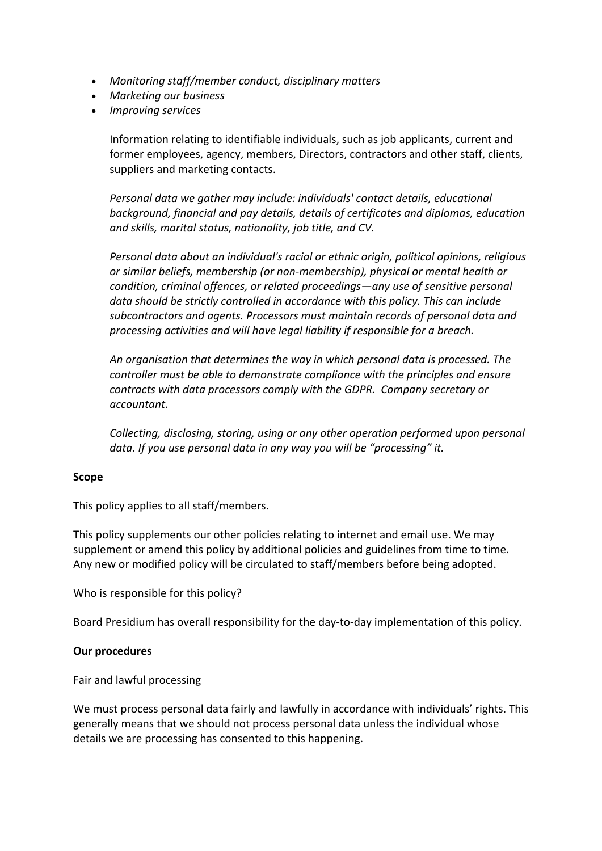- *Monitoring staff/member conduct, disciplinary matters*
- *Marketing our business*
- *Improving services*

Information relating to identifiable individuals, such as job applicants, current and former employees, agency, members, Directors, contractors and other staff, clients, suppliers and marketing contacts.

*Personal data we gather may include: individuals' contact details, educational background, financial and pay details, details of certificates and diplomas, education and skills, marital status, nationality, job title, and CV.* 

*Personal data about an individual's racial or ethnic origin, political opinions, religious or similar beliefs, membership (or non-membership), physical or mental health or condition, criminal offences, or related proceedings—any use of sensitive personal data should be strictly controlled in accordance with this policy. This can include subcontractors and agents. Processors must maintain records of personal data and processing activities and will have legal liability if responsible for a breach.* 

*An organisation that determines the way in which personal data is processed. The controller must be able to demonstrate compliance with the principles and ensure contracts with data processors comply with the GDPR. Company secretary or accountant.* 

*Collecting, disclosing, storing, using or any other operation performed upon personal data. If you use personal data in any way you will be "processing" it.* 

## **Scope**

This policy applies to all staff/members.

This policy supplements our other policies relating to internet and email use. We may supplement or amend this policy by additional policies and guidelines from time to time. Any new or modified policy will be circulated to staff/members before being adopted.

Who is responsible for this policy?

Board Presidium has overall responsibility for the day-to-day implementation of this policy.

## **Our procedures**

Fair and lawful processing

We must process personal data fairly and lawfully in accordance with individuals' rights. This generally means that we should not process personal data unless the individual whose details we are processing has consented to this happening.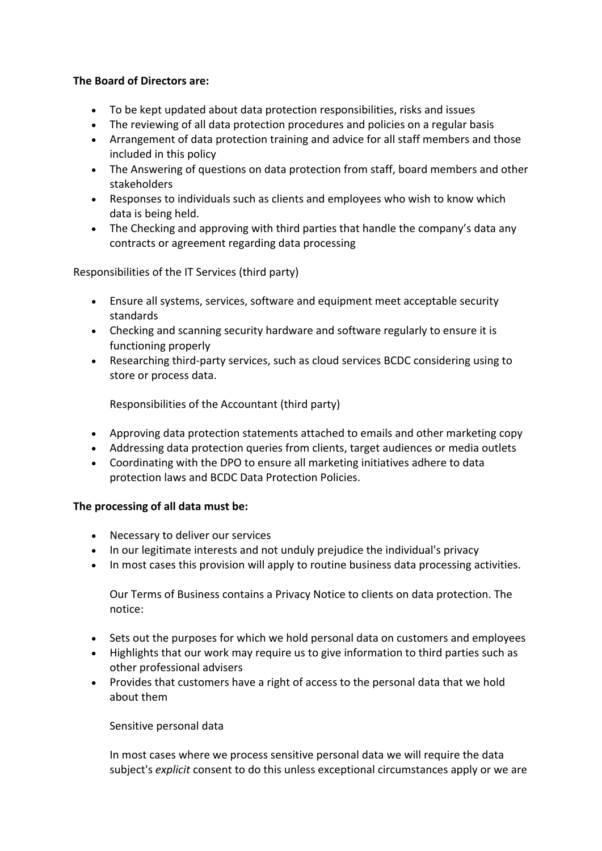## **The Board of Directors are:**

- To be kept updated about data protection responsibilities, risks and issues
- The reviewing of all data protection procedures and policies on a regular basis
- Arrangement of data protection training and advice for all staff members and those included in this policy
- The Answering of questions on data protection from staff, board members and other stakeholders
- Responses to individuals such as clients and employees who wish to know which data is being held.
- The Checking and approving with third parties that handle the company's data any contracts or agreement regarding data processing

Responsibilities of the IT Services (third party)

- Ensure all systems, services, software and equipment meet acceptable security standards
- Checking and scanning security hardware and software regularly to ensure it is functioning properly
- Researching third-party services, such as cloud services BCDC considering using to store or process data.

Responsibilities of the Accountant (third party)

- Approving data protection statements attached to emails and other marketing copy
- Addressing data protection queries from clients, target audiences or media outlets
- Coordinating with the DPO to ensure all marketing initiatives adhere to data protection laws and BCDC Data Protection Policies.

## **The processing of all data must be:**

- Necessary to deliver our services
- In our legitimate interests and not unduly prejudice the individual's privacy
- In most cases this provision will apply to routine business data processing activities.

Our Terms of Business contains a Privacy Notice to clients on data protection. The notice:

- Sets out the purposes for which we hold personal data on customers and employees
- Highlights that our work may require us to give information to third parties such as other professional advisers
- Provides that customers have a right of access to the personal data that we hold about them

## Sensitive personal data

In most cases where we process sensitive personal data we will require the data subject's *explicit* consent to do this unless exceptional circumstances apply or we are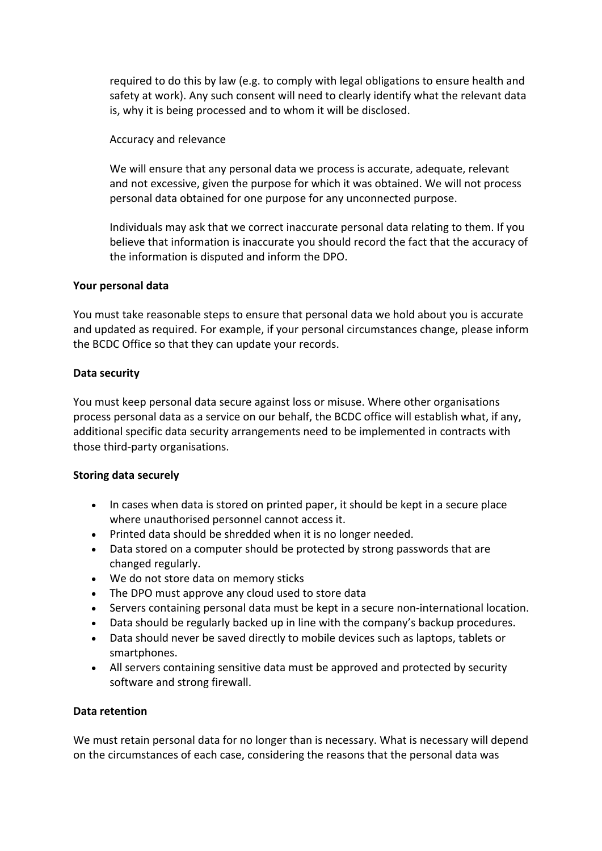required to do this by law (e.g. to comply with legal obligations to ensure health and safety at work). Any such consent will need to clearly identify what the relevant data is, why it is being processed and to whom it will be disclosed.

Accuracy and relevance

We will ensure that any personal data we process is accurate, adequate, relevant and not excessive, given the purpose for which it was obtained. We will not process personal data obtained for one purpose for any unconnected purpose.

Individuals may ask that we correct inaccurate personal data relating to them. If you believe that information is inaccurate you should record the fact that the accuracy of the information is disputed and inform the DPO.

## **Your personal data**

You must take reasonable steps to ensure that personal data we hold about you is accurate and updated as required. For example, if your personal circumstances change, please inform the BCDC Office so that they can update your records.

## **Data security**

You must keep personal data secure against loss or misuse. Where other organisations process personal data as a service on our behalf, the BCDC office will establish what, if any, additional specific data security arrangements need to be implemented in contracts with those third-party organisations.

## **Storing data securely**

- In cases when data is stored on printed paper, it should be kept in a secure place where unauthorised personnel cannot access it.
- Printed data should be shredded when it is no longer needed.
- Data stored on a computer should be protected by strong passwords that are changed regularly.
- We do not store data on memory sticks
- The DPO must approve any cloud used to store data
- Servers containing personal data must be kept in a secure non-international location.
- Data should be regularly backed up in line with the company's backup procedures.
- Data should never be saved directly to mobile devices such as laptops, tablets or smartphones.
- All servers containing sensitive data must be approved and protected by security software and strong firewall.

## **Data retention**

We must retain personal data for no longer than is necessary. What is necessary will depend on the circumstances of each case, considering the reasons that the personal data was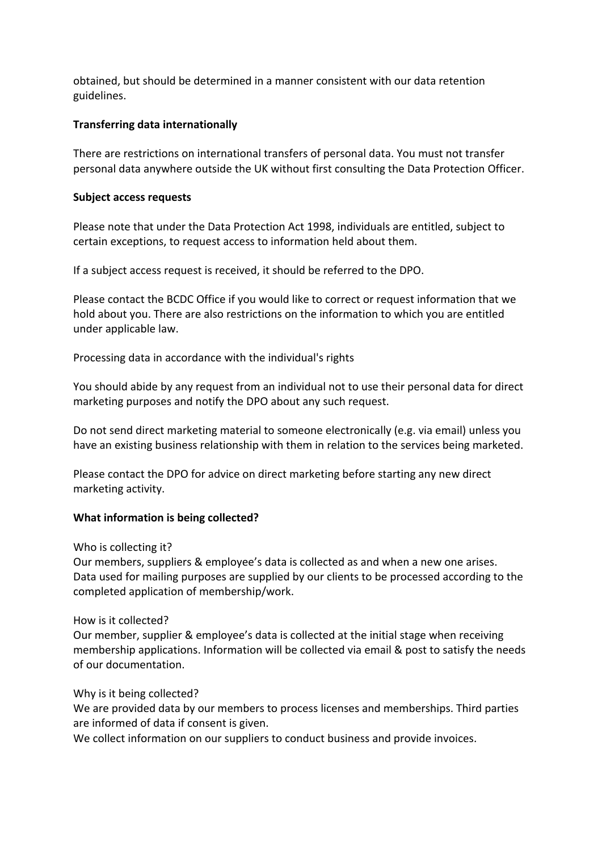obtained, but should be determined in a manner consistent with our data retention guidelines.

## **Transferring data internationally**

There are restrictions on international transfers of personal data. You must not transfer personal data anywhere outside the UK without first consulting the Data Protection Officer.

## **Subject access requests**

Please note that under the Data Protection Act 1998, individuals are entitled, subject to certain exceptions, to request access to information held about them.

If a subject access request is received, it should be referred to the DPO.

Please contact the BCDC Office if you would like to correct or request information that we hold about you. There are also restrictions on the information to which you are entitled under applicable law.

Processing data in accordance with the individual's rights

You should abide by any request from an individual not to use their personal data for direct marketing purposes and notify the DPO about any such request.

Do not send direct marketing material to someone electronically (e.g. via email) unless you have an existing business relationship with them in relation to the services being marketed.

Please contact the DPO for advice on direct marketing before starting any new direct marketing activity.

## **What information is being collected?**

Who is collecting it?

Our members, suppliers & employee's data is collected as and when a new one arises. Data used for mailing purposes are supplied by our clients to be processed according to the completed application of membership/work.

How is it collected?

Our member, supplier & employee's data is collected at the initial stage when receiving membership applications. Information will be collected via email & post to satisfy the needs of our documentation.

## Why is it being collected?

We are provided data by our members to process licenses and memberships. Third parties are informed of data if consent is given.

We collect information on our suppliers to conduct business and provide invoices.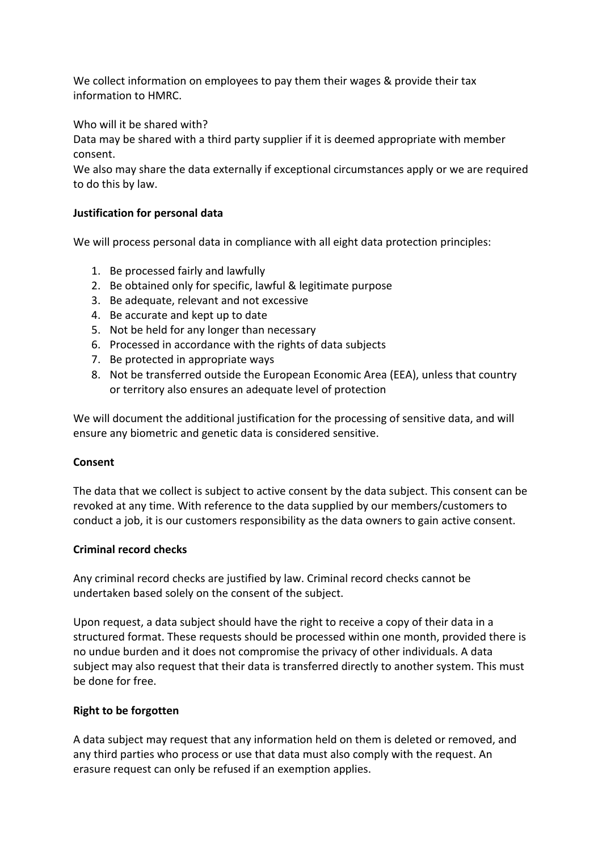We collect information on employees to pay them their wages & provide their tax information to HMRC.

Who will it be shared with?

Data may be shared with a third party supplier if it is deemed appropriate with member consent.

We also may share the data externally if exceptional circumstances apply or we are required to do this by law.

## **Justification for personal data**

We will process personal data in compliance with all eight data protection principles:

- 1. Be processed fairly and lawfully
- 2. Be obtained only for specific, lawful & legitimate purpose
- 3. Be adequate, relevant and not excessive
- 4. Be accurate and kept up to date
- 5. Not be held for any longer than necessary
- 6. Processed in accordance with the rights of data subjects
- 7. Be protected in appropriate ways
- 8. Not be transferred outside the European Economic Area (EEA), unless that country or territory also ensures an adequate level of protection

We will document the additional justification for the processing of sensitive data, and will ensure any biometric and genetic data is considered sensitive.

## **Consent**

The data that we collect is subject to active consent by the data subject. This consent can be revoked at any time. With reference to the data supplied by our members/customers to conduct a job, it is our customers responsibility as the data owners to gain active consent.

## **Criminal record checks**

Any criminal record checks are justified by law. Criminal record checks cannot be undertaken based solely on the consent of the subject.

Upon request, a data subject should have the right to receive a copy of their data in a structured format. These requests should be processed within one month, provided there is no undue burden and it does not compromise the privacy of other individuals. A data subject may also request that their data is transferred directly to another system. This must be done for free.

## **Right to be forgotten**

A data subject may request that any information held on them is deleted or removed, and any third parties who process or use that data must also comply with the request. An erasure request can only be refused if an exemption applies.